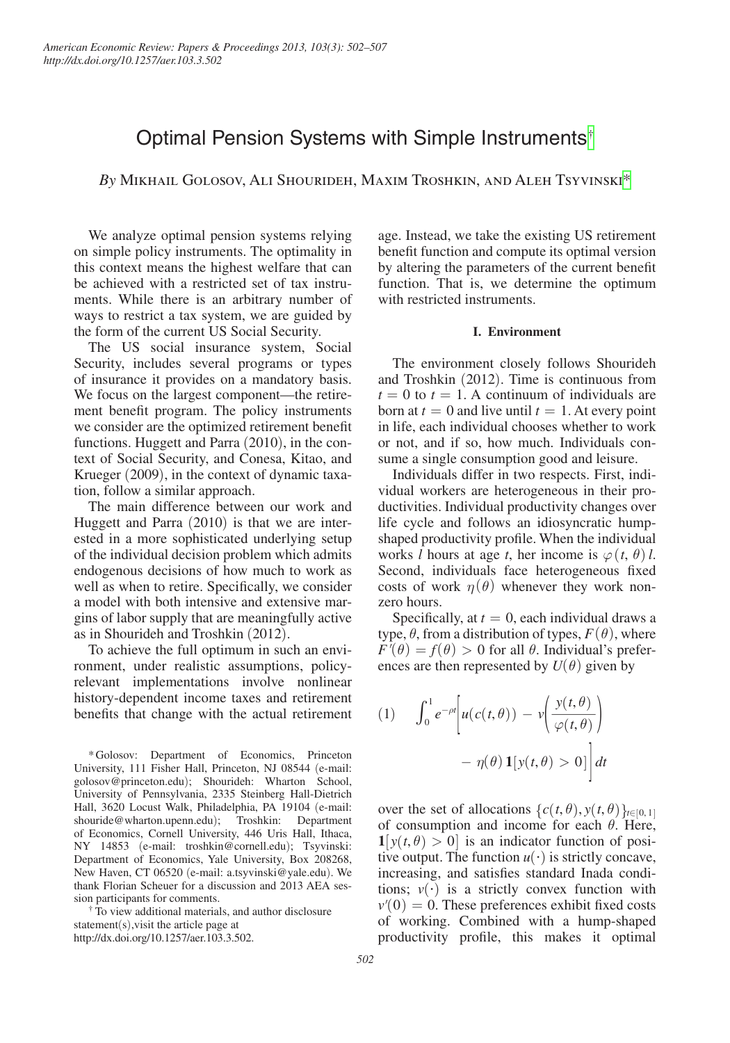# Optimal Pension Systems with Simple Instruments[†](#page-0-0)

*By* Mikhail Golosov, Ali Shourideh, Maxim Troshkin, and Aleh Tsyvinsk[i\\*](#page-0-1)

We analyze optimal pension systems relying on simple policy instruments. The optimality in this context means the highest welfare that can be achieved with a restricted set of tax instruments. While there is an arbitrary number of ways to restrict a tax system, we are guided by the form of the current US Social Security.

The US social insurance system, Social Security, includes several programs or types of insurance it provides on a mandatory basis. We focus on the largest component—the retirement benefit program. The policy instruments we consider are the optimized retirement benefit functions. Huggett and Parra (2010), in the context of Social Security, and Conesa, Kitao, and Krueger (2009), in the context of dynamic taxation, follow a similar approach.

The main difference between our work and Huggett and Parra (2010) is that we are interested in a more sophisticated underlying setup of the individual decision problem which admits endogenous decisions of how much to work as well as when to retire. Specifically, we consider a model with both intensive and extensive margins of labor supply that are meaningfully active as in Shourideh and Troshkin (2012).

To achieve the full optimum in such an environment, under realistic assumptions, policyrelevant implementations involve nonlinear history-dependent income taxes and retirement benefits that change with the actual retirement

<span id="page-0-0"></span>sion participants for comments. † To view additional materials, and author disclosure statement(s),visit the article page at [http://dx.doi.org/10.1257/aer.103.3.502.](http://dx.doi.org/10.1257/aer.103.3.502)

age. Instead, we take the existing US retirement benefit function and compute its optimal version by altering the parameters of the current benefit function. That is, we determine the optimum with restricted instruments.

### **I. Environment**

The environment closely follows Shourideh and Troshkin (2012). Time is continuous from  $t = 0$  to  $t = 1$ . A continuum of individuals are born at  $t = 0$  and live until  $t = 1$ . At every point in life, each individual chooses whether to work or not, and if so, how much. Individuals consume a single consumption good and leisure.

Individuals differ in two respects. First, individual workers are heterogeneous in their productivities. Individual productivity changes over life cycle and follows an idiosyncratic humpshaped productivity profile. When the individual works *l* hours at age *t*, her income is  $\varphi(t, \theta)$ *l*. Second, individuals face heterogeneous fixed costs of work  $\eta(\theta)$  whenever they work nonzero hours.

Specifically, at  $t = 0$ , each individual draws a type,  $\theta$ , from a distribution of types,  $F(\theta)$ , where  $F'(\theta) = f(\theta) > 0$  for all  $\theta$ . Individual's preferences are then represented by  $U(\theta)$  given by

(1) 
$$
\int_0^1 e^{-\rho t} \left[ u(c(t,\theta)) - v \left( \frac{y(t,\theta)}{\varphi(t,\theta)} \right) - \eta(\theta) \mathbf{1}[y(t,\theta) > 0] \right] dt
$$

over the set of allocations  $\{c(t, \theta), y(t, \theta)\}_{t \in [0, 1]}$ of consumption and income for each  $\theta$ . Here,  $\mathbf{1}[y(t, \theta) > 0]$  is an indicator function of positive output. The function  $u(\cdot)$  is strictly concave, increasing, and satisfies standard Inada conditions;  $v(\cdot)$  is a strictly convex function with  $v'(0) = 0$ . These preferences exhibit fixed costs of working. Combined with a hump-shaped productivity profile, this makes it optimal

<span id="page-0-1"></span><sup>\*</sup>Golosov: Department of Economics, Princeton University, 111 Fisher Hall, Princeton, NJ 08544 (e-mail: [golosov@princeton.edu](mailto:golosov@princeton.edu)); Shourideh: Wharton School, University of Pennsylvania, 2335 Steinberg Hall-Dietrich Hall, 3620 Locust Walk, Philadelphia, PA 19104 (e-mail: [shouride@wharton.upenn.edu](mailto:shouride@wharton.upenn.edu)); Troshkin: Department of Economics, Cornell University, 446 Uris Hall, Ithaca, NY 14853 (e-mail: [troshkin@cornell.edu](mailto:troshkin@cornell.edu)); Tsyvinski: Department of Economics, Yale University, Box 208268, New Haven, CT 06520 (e-mail: [a.tsyvinski@yale.edu](mailto:a.tsyvinski@yale.edu)). We thank Florian Scheuer for a discussion and 2013 AEA ses-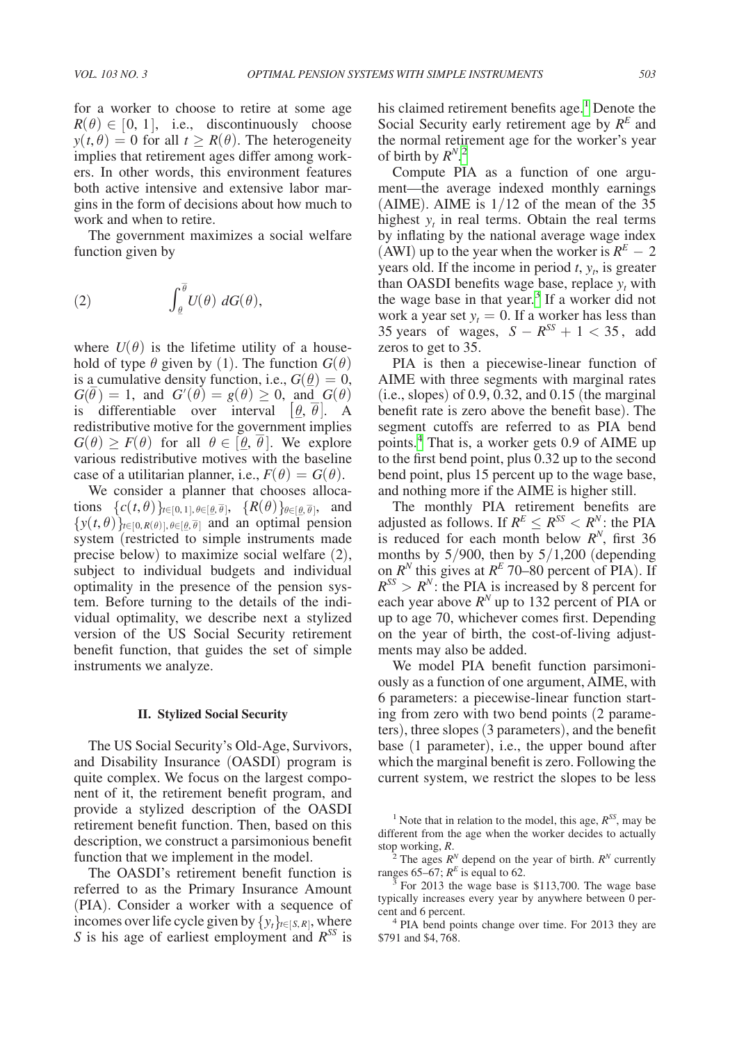for a worker to choose to retire at some age  $R(\theta) \in [0, 1]$ , i.e., discontinuously choose  $y(t, \theta) = 0$  for all  $t \ge R(\theta)$ . The heterogeneity implies that retirement ages differ among workers. In other words, this environment features both active intensive and extensive labor margins in the form of decisions about how much to work and when to retire.

The government maximizes a social welfare function given by

(2) 
$$
\int_{\theta}^{\overline{\theta}} U(\theta) \, dG(\theta),
$$

where  $U(\theta)$  is the lifetime utility of a household of type  $\theta$  given by (1). The function  $G(\theta)$ is a cumulative density function, i.e.,  $G(\underline{\theta}) = 0$ ,  $G(\bar{\theta}) = 1$ , and  $G'(\theta) = g(\theta) \geq 0$ , and  $G(\theta)$ is differentiable over interval  $[\underline{\theta}, \theta]$ . A redistributive motive for the government implies<br>  $G(a) \geq F(a)$  $G(\theta) \geq F(\theta)$  for all  $\theta \in [\underline{\theta}, \theta]$ . We explore various redistributive motives with the baseline case of a utilitarian planner, i.e.,  $F(\theta) = G(\theta)$ .

We consider a planner that chooses allocations  $\{c(t, \theta)\}_{t \in [0, 1], \theta \in [\underline{\theta}, \overline{\theta}]}, \{R(\theta)\}_{\theta \in [\underline{\theta}, \overline{\theta}]}, \text{ and}$  $\{y(t, \theta)\}_{t \in [0, R(\theta)], \theta \in [\theta, \overline{\theta}]}$  and an optimal pension system (restricted to simple instruments made precise below) to maximize social welfare (2), subject to individual budgets and individual optimality in the presence of the pension system. Before turning to the details of the individual optimality, we describe next a stylized version of the US Social Security retirement benefit function, that guides the set of simple instruments we analyze.

#### **II. Stylized Social Security**

The US Social Security's Old-Age, Survivors, and Disability Insurance (OASDI) program is quite complex. We focus on the largest component of it, the retirement benefit program, and provide a stylized description of the OASDI retirement benefit function. Then, based on this description, we construct a parsimonious benefit function that we implement in the model.

The OASDI's retirement benefit function is referred to as the Primary Insurance Amount (PIA). Consider a worker with a sequence of incomes over life cycle given by  $\{y_t\}_{t \in [S, R]}$ , where *S* is his age of earliest employment and *RSS* is

his claimed retirement benefits age.<sup>[1](#page-1-0)</sup> Denote the Social Security early retirement age by  $R^E$  and the normal retirement age for the worker's year of birth by  $R^{N}$ .<sup>[2](#page-1-1)</sup>

Compute PIA as a function of one argument—the average indexed monthly earnings (AIME). AIME is  $1/12$  of the mean of the 35 highest  $y_t$  in real terms. Obtain the real terms by inflating by the national average wage index (AWI) up to the year when the worker is  $R^E - 2$ years old. If the income in period  $t$ ,  $y_t$ , is greater than OASDI benefits wage base, replace  $y_t$  with the wage base in that year.<sup>3</sup> If a worker did not work a year set  $y_t = 0$ . If a worker has less than 35 years of wages,  $S - R^{SS} + 1 < 35$ , add zeros to get to 35.

PIA is then a piecewise-linear function of AIME with three segments with marginal rates  $(i.e., slopes)$  of 0.9, 0.32, and 0.15 (the marginal benefit rate is zero above the benefit base). The segment cutoffs are referred to as PIA bend points.[4](#page-1-3) That is, a worker gets 0.9 of AIME up to the first bend point, plus 0.32 up to the second bend point, plus 15 percent up to the wage base, and nothing more if the AIME is higher still.

The monthly PIA retirement benefits are adjusted as follows. If  $R^E \leq R^{SS} < R^N$ : the PIA is reduced for each month below  $R^N$ , first 36 months by  $5/900$ , then by  $5/1,200$  (depending on  $R^N$  this gives at  $R^E$  70–80 percent of PIA). If  $R^{SS} > R^N$ : the PIA is increased by 8 percent for each year above  $R^N$  up to 132 percent of PIA or up to age 70, whichever comes first. Depending on the year of birth, the cost-of-living adjustments may also be added.

We model PIA benefit function parsimoniously as a function of one argument, AIME, with 6 parameters: a piecewise-linear function starting from zero with two bend points (2 parameters), three slopes (3 parameters), and the benefit base (1 parameter), i.e., the upper bound after which the marginal benefit is zero. Following the current system, we restrict the slopes to be less

<span id="page-1-0"></span><sup>&</sup>lt;sup>1</sup> Note that in relation to the model, this age,  $R^{SS}$ , may be different from the age when the worker decides to actually

<span id="page-1-1"></span>stop working, *R*. <sup>2</sup> The ages *R*<sup>*N*</sup> depend on the year of birth. *R<sup>N</sup>* currently ranges 65–67;  $R^E$  is equal to 62.

<span id="page-1-2"></span>For 2013 the wage base is \$113,700. The wage base typically increases every year by anywhere between 0 percent and 6 percent. 4 PIA bend points change over time. For 2013 they are

<span id="page-1-3"></span><sup>\$791</sup> and \$4, 768.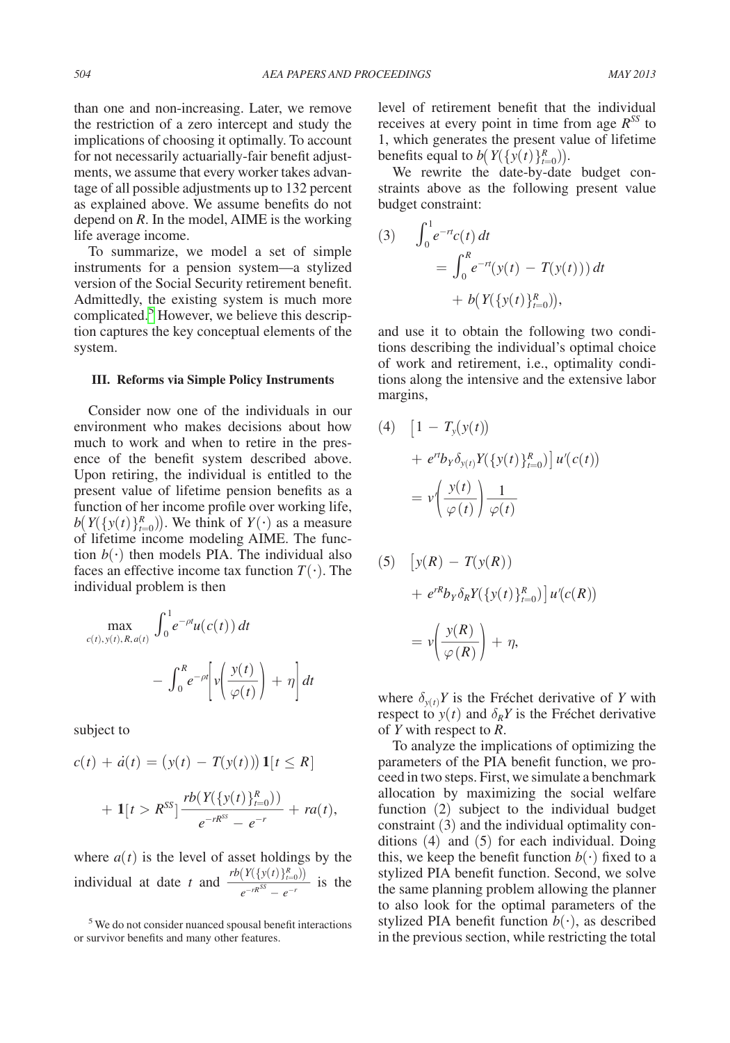than one and non-increasing. Later, we remove the restriction of a zero intercept and study the implications of choosing it optimally. To account for not necessarily actuarially-fair benefit adjustments, we assume that every worker takes advantage of all possible adjustments up to 132 percent as explained above. We assume benefits do not depend on *R*. In the model, AIME is the working life average income.

To summarize, we model a set of simple instruments for a pension system—a stylized version of the Social Security retirement benefit. Admittedly, the existing system is much more complicated.<sup>5</sup> However, we believe this description captures the key conceptual elements of the system.

#### **III. Reforms via Simple Policy Instruments**

Consider now one of the individuals in our environment who makes decisions about how much to work and when to retire in the presence of the benefit system described above. Upon retiring, the individual is entitled to the present value of lifetime pension benefits as a function of her income profile over working life,  $b(Y(\{y(t)\}_{t=0}^R))$ . We think of  $Y(\cdot)$  as a measure of lifetime income modeling AIME. The function  $b(\cdot)$  then models PIA. The individual also faces an effective income tax function  $T(\cdot)$ . The individual problem is then

$$
\max_{c(t), y(t), R, a(t)} \int_0^1 e^{-\rho t} u(c(t)) dt
$$

$$
- \int_0^R e^{-\rho t} \left[ v \left( \frac{y(t)}{\varphi(t)} \right) + \eta \right] dt
$$

subject to

$$
c(t) + \dot{a}(t) = (y(t) - T(y(t))) \mathbf{1}[t \leq R]
$$
  
+ 
$$
\mathbf{1}[t > R^{SS}] \frac{rb(Y(\{y(t)\}_{t=0}^R))}{e^{-rR^{SS}} - e^{-r}} + ra(t),
$$

where  $a(t)$  is the level of asset holdings by the  $\frac{1}{e^{-rR^{SS}} - e^{-r}} + ra(t)$ <br>
where *a*(*t*) is the level of asset holdings by<br>
individual at date *t* and  $\frac{rb(Y(\{y(t)\}_{t=0}^R))}{e^{-rR^{SS}} - e^{-r}}$  is<br>
<sup>5</sup>We do not consider nuanced spousal benefit interaction in the space of manner  $\frac{f(t) f(t=0)}{f(t)}$  is the

level of retirement benefit that the individual receives at every point in time from age  $R<sup>SS</sup>$  to 1, which generates the present value of lifetime benefits equal to  $b(Y({y(t)}_{t=0}^R))$ .

We rewrite the date-by-date budget constraints above as the following present value budget constraint:

(3) 
$$
\int_0^1 e^{-rt} c(t) dt
$$
  
= 
$$
\int_0^R e^{-rt} (y(t) - T(y(t))) dt
$$
  
+ 
$$
b(Y(\{y(t)\}_{t=0}^R)),
$$

and use it to obtain the following two conditions describing the individual's optimal choice of work and retirement, i.e., optimality conditions along the intensive and the extensive labor margins,

(4) 
$$
\left[1 - T_{y}(y(t))\right]
$$

$$
+ e^{rt}b_{y}\delta_{y(t)}Y(\{y(t)\}_{t=0}^{R})\right]u'(c(t))
$$

$$
= v'\left(\frac{y(t)}{\varphi(t)}\right)\frac{1}{\varphi(t)}
$$

(5) 
$$
\left[ y(R) - T(y(R)) \right]
$$

$$
+ e^{rR} b_Y \delta_R Y(\{y(t)\}_{t=0}^R) \left] u'(c(R)) \right]
$$

$$
= v \left( \frac{y(R)}{\varphi(R)} \right) + \eta,
$$

where  $\delta_{y(t)} Y$  is the Fréchet derivative of *Y* with respect to  $y(t)$  and  $\delta_R Y$  is the Fréchet derivative of *Y* with respect to *R*.

To analyze the implications of optimizing the parameters of the PIA benefit function, we proceed in two steps. First, we simulate a benchmark allocation by maximizing the social welfare function (2) subject to the individual budget constraint (3) and the individual optimality conditions (4) and (5) for each individual. Doing this, we keep the benefit function  $b(\cdot)$  fixed to a stylized PIA benefit function. Second, we solve the same planning problem allowing the planner to also look for the optimal parameters of the stylized PIA benefit function  $b(\cdot)$ , as described in the previous section, while restricting the total

<span id="page-2-0"></span><sup>5</sup> We do not consider nuanced spousal benefit interactions or survivor benefits and many other features.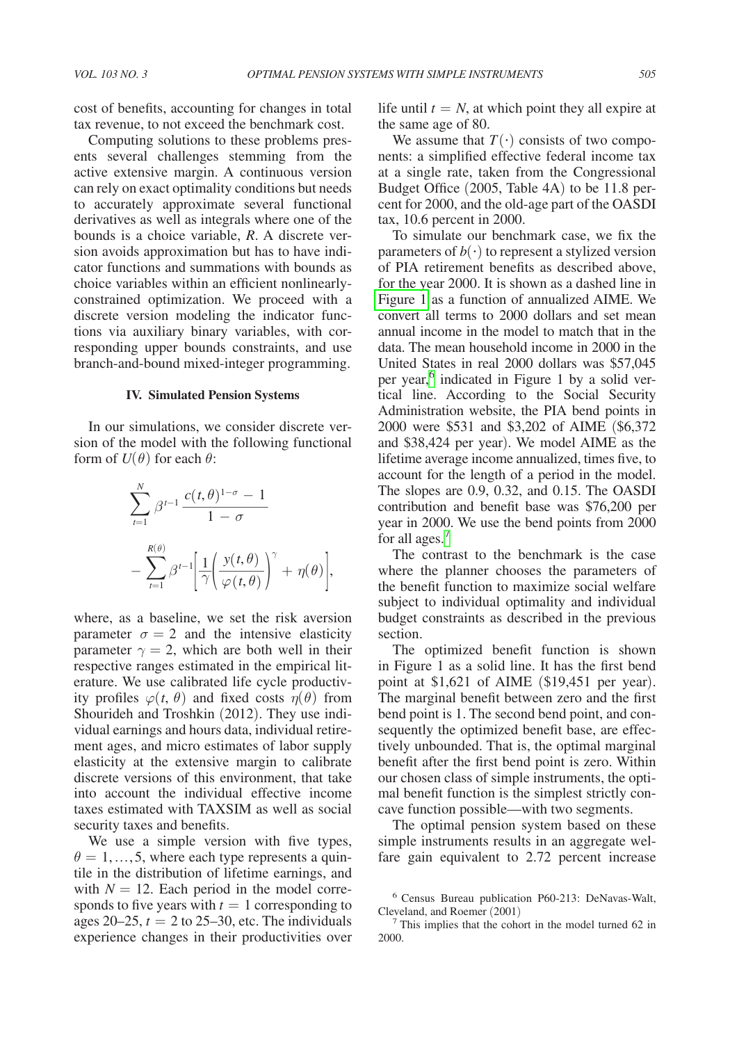cost of benefits, accounting for changes in total tax revenue, to not exceed the benchmark cost.

Computing solutions to these problems presents several challenges stemming from the active extensive margin. A continuous version can rely on exact optimality conditions but needs to accurately approximate several functional derivatives as well as integrals where one of the bounds is a choice variable, *R*. A discrete version avoids approximation but has to have indicator functions and summations with bounds as choice variables within an efficient nonlinearlyconstrained optimization. We proceed with a discrete version modeling the indicator functions via auxiliary binary variables, with corresponding upper bounds constraints, and use branch-and-bound mixed-integer programming.

#### **IV. Simulated Pension Systems**

In our simulations, we consider discrete version of the model with the following functional form of  $U(\theta)$  for each  $\theta$ :

$$
\sum_{t=1}^{N} \beta^{t-1} \frac{c(t,\theta)^{1-\sigma} - 1}{1-\sigma}
$$

$$
- \sum_{t=1}^{R(\theta)} \beta^{t-1} \left[ \frac{1}{\gamma} \left( \frac{y(t,\theta)}{\varphi(t,\theta)} \right)^{\gamma} + \eta(\theta) \right],
$$

where, as a baseline, we set the risk aversion parameter  $\sigma = 2$  and the intensive elasticity parameter  $\gamma = 2$ , which are both well in their respective ranges estimated in the empirical literature. We use calibrated life cycle productivity profiles  $\varphi(t, \theta)$  and fixed costs  $\eta(\theta)$  from Shourideh and Troshkin (2012). They use individual earnings and hours data, individual retirement ages, and micro estimates of labor supply elasticity at the extensive margin to calibrate discrete versions of this environment, that take into account the individual effective income taxes estimated with TAXSIM as well as social security taxes and benefits.

We use a simple version with five types,  $\theta = 1, \ldots, 5$ , where each type represents a quintile in the distribution of lifetime earnings, and with  $N = 12$ . Each period in the model corresponds to five years with  $t = 1$  corresponding to ages  $20-25$ ,  $t = 2$  to  $25-30$ , etc. The individuals experience changes in their productivities over

life until  $t = N$ , at which point they all expire at the same age of 80.

We assume that  $T(\cdot)$  consists of two components: a simplified effective federal income tax at a single rate, taken from the Congressional Budget Office (2005, Table 4A) to be 11.8 percent for 2000, and the old-age part of the OASDI tax, 10.6 percent in 2000.

To simulate our benchmark case, we fix the parameters of  $b(\cdot)$  to represent a stylized version of PIA retirement benefits as described above, for the year 2000. It is shown as a dashed line in [Figure 1](#page-4-0) as a function of annualized AIME. We convert all terms to 2000 dollars and set mean annual income in the model to match that in the data. The mean household income in 2000 in the United States in real 2000 dollars was \$57,045 per year,<sup>6</sup> indicated in Figure 1 by a solid vertical line. According to the Social Security Administration website, the PIA bend points in 2000 were \$531 and \$3,202 of AIME (\$6,372 and \$38,424 per year). We model AIME as the lifetime average income annualized, times five, to account for the length of a period in the model. The slopes are 0.9, 0.32, and 0.15. The OASDI contribution and benefit base was \$76,200 per year in 2000. We use the bend points from 2000 for all ages.<sup>[7](#page-3-1)</sup>

The contrast to the benchmark is the case where the planner chooses the parameters of the benefit function to maximize social welfare subject to individual optimality and individual budget constraints as described in the previous section.

The optimized benefit function is shown in Figure 1 as a solid line. It has the first bend point at \$1,621 of AIME (\$19,451 per year). The marginal benefit between zero and the first bend point is 1. The second bend point, and consequently the optimized benefit base, are effectively unbounded. That is, the optimal marginal benefit after the first bend point is zero. Within our chosen class of simple instruments, the optimal benefit function is the simplest strictly concave function possible—with two segments.

The optimal pension system based on these simple instruments results in an aggregate welfare gain equivalent to 2.72 percent increase

<span id="page-3-0"></span> $6$  Census Bureau publication P60-213: DeNavas-Walt, Cleveland, and Roemer (2001)

<span id="page-3-1"></span>This implies that the cohort in the model turned 62 in 2000.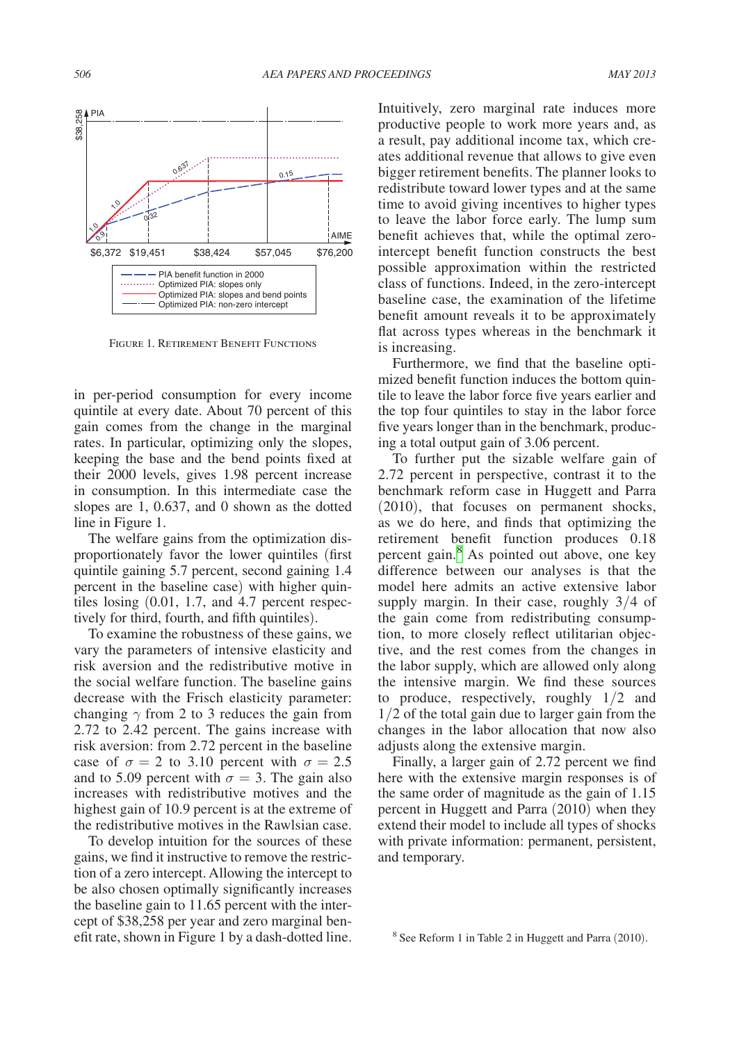<span id="page-4-0"></span>

Figure 1. Retirement Benefit Functions

in per-period consumption for every income quintile at every date. About 70 percent of this gain comes from the change in the marginal rates. In particular, optimizing only the slopes, keeping the base and the bend points fixed at their 2000 levels, gives 1.98 percent increase in consumption. In this intermediate case the slopes are 1, 0.637, and 0 shown as the dotted line in Figure 1.

The welfare gains from the optimization disproportionately favor the lower quintiles (first quintile gaining 5.7 percent, second gaining 1.4 percent in the baseline case) with higher quintiles losing (0.01, 1.7, and 4.7 percent respectively for third, fourth, and fifth quintiles).

To examine the robustness of these gains, we vary the parameters of intensive elasticity and risk aversion and the redistributive motive in the social welfare function. The baseline gains decrease with the Frisch elasticity parameter: changing  $\gamma$  from 2 to 3 reduces the gain from 2.72 to 2.42 percent. The gains increase with risk aversion: from 2.72 percent in the baseline case of  $\sigma = 2$  to 3.10 percent with  $\sigma = 2.5$ and to 5.09 percent with  $\sigma = 3$ . The gain also increases with redistributive motives and the highest gain of 10.9 percent is at the extreme of the redistributive motives in the Rawlsian case.

To develop intuition for the sources of these gains, we find it instructive to remove the restriction of a zero intercept. Allowing the intercept to be also chosen optimally significantly increases the baseline gain to 11.65 percent with the intercept of \$38,258 per year and zero marginal benefit rate, shown in Figure 1 by a dash-dotted line. Intuitively, zero marginal rate induces more productive people to work more years and, as a result, pay additional income tax, which creates additional revenue that allows to give even bigger retirement benefits. The planner looks to redistribute toward lower types and at the same time to avoid giving incentives to higher types to leave the labor force early. The lump sum benefit achieves that, while the optimal zerointercept benefit function constructs the best possible approximation within the restricted class of functions. Indeed, in the zero-intercept baseline case, the examination of the lifetime benefit amount reveals it to be approximately flat across types whereas in the benchmark it is increasing.

Furthermore, we find that the baseline optimized benefit function induces the bottom quintile to leave the labor force five years earlier and the top four quintiles to stay in the labor force five years longer than in the benchmark, producing a total output gain of 3.06 percent.

To further put the sizable welfare gain of 2.72 percent in perspective, contrast it to the benchmark reform case in Huggett and Parra (2010), that focuses on permanent shocks, as we do here, and finds that optimizing the retirement benefit function produces 0.18 percent gain.[8](#page-4-1) As pointed out above, one key difference between our analyses is that the model here admits an active extensive labor supply margin. In their case, roughly 3/4 of the gain come from redistributing consumption, to more closely reflect utilitarian objective, and the rest comes from the changes in the labor supply, which are allowed only along the intensive margin. We find these sources to produce, respectively, roughly 1/2 and 1/2 of the total gain due to larger gain from the changes in the labor allocation that now also adjusts along the extensive margin.

Finally, a larger gain of 2.72 percent we find here with the extensive margin responses is of the same order of magnitude as the gain of 1.15 percent in Huggett and Parra (2010) when they extend their model to include all types of shocks with private information: permanent, persistent, and temporary.

<span id="page-4-1"></span><sup>8</sup> See Reform 1 in Table 2 in Huggett and Parra (2010).